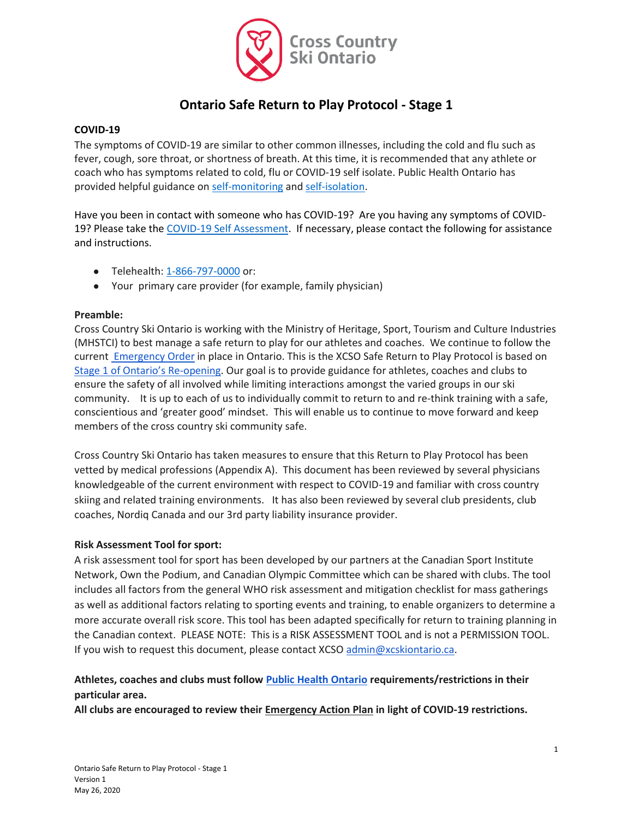

# **Ontario Safe Return to Play Protocol - Stage 1**

#### **COVID-19**

The symptoms of COVID-19 are similar to other common illnesses, including the cold and flu such as fever, cough, sore throat, or shortness of breath. At this time, it is recommended that any athlete or coach who has symptoms related to cold, flu or COVID-19 self isolate. Public Health Ontario has provided helpful guidance on [self-monitoring](https://www.publichealthontario.ca/-/media/documents/ncov/factsheet-covid-19-self-monitor.pdf?la=en) an[d self-isolation.](https://www.publichealthontario.ca/-/media/documents/ncov/factsheet-covid-19-how-to-self-isolate.pdf?la=en)

Have you been in contact with someone who has COVID-19? Are you having any symptoms of COVID-19? Please take the [COVID-19 Self Assessment.](https://covid-19.ontario.ca/self-assessment/severe-symptoms) If necessary, please contact the following for assistance and instructions.

- Telehealth: [1-866-797-0000](about:blank) or:
- Your primary care provider (for example, family physician)

#### **Preamble:**

Cross Country Ski Ontario is working with the Ministry of Heritage, Sport, Tourism and Culture Industries (MHSTCI) to best manage a safe return to play for our athletes and coaches. We continue to follow the curren[t Emergency Order](https://www.ontario.ca/page/emergency-information) in place in Ontario. This is the XCSO Safe Return to Play Protocol is based on [Stage 1 of Ontario's Re](https://www.ontario.ca/page/framework-reopening-our-province-stage-1)-opening. Our goal is to provide guidance for athletes, coaches and clubs to ensure the safety of all involved while limiting interactions amongst the varied groups in our ski community. It is up to each of us to individually commit to return to and re-think training with a safe, conscientious and 'greater good' mindset. This will enable us to continue to move forward and keep members of the cross country ski community safe.

Cross Country Ski Ontario has taken measures to ensure that this Return to Play Protocol has been vetted by medical professions (Appendix A). This document has been reviewed by several physicians knowledgeable of the current environment with respect to COVID-19 and familiar with cross country skiing and related training environments. It has also been reviewed by several club presidents, club coaches, Nordiq Canada and our 3rd party liability insurance provider.

#### **Risk Assessment Tool for sport:**

A risk assessment tool for sport has been developed by our partners at the Canadian Sport Institute Network, Own the Podium, and Canadian Olympic Committee which can be shared with clubs. The tool includes all factors from the general WHO risk assessment and mitigation checklist for mass gatherings as well as additional factors relating to sporting events and training, to enable organizers to determine a more accurate overall risk score. This tool has been adapted specifically for return to training planning in the Canadian context. PLEASE NOTE: This is a RISK ASSESSMENT TOOL and is not a PERMISSION TOOL. If you wish to request this document, please contact XCSO [admin@xcskiontario.ca.](mailto:admin@xcskiontario.ca)

## **Athletes, coaches and clubs must follow [Public Health Ontario](https://www.publichealthontario.ca/) requirements/restrictions in their particular area.**

**All clubs are encouraged to review their Emergency Action Plan in light of COVID-19 restrictions.**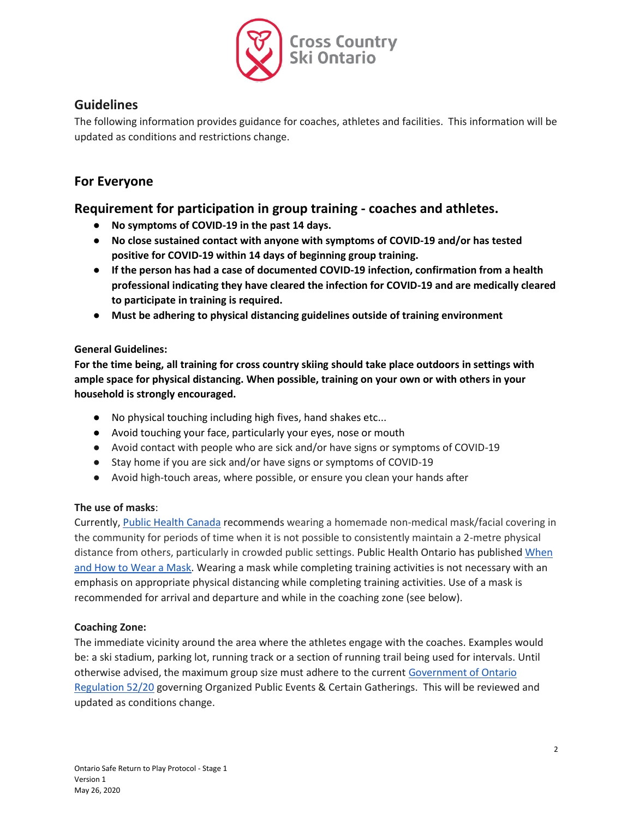

# **Guidelines**

The following information provides guidance for coaches, athletes and facilities. This information will be updated as conditions and restrictions change.

# **For Everyone**

# **Requirement for participation in group training - coaches and athletes.**

- **No symptoms of COVID-19 in the past 14 days.**
- **No close sustained contact with anyone with symptoms of COVID-19 and/or has tested positive for COVID-19 within 14 days of beginning group training.**
- **If the person has had a case of documented COVID-19 infection, confirmation from a health professional indicating they have cleared the infection for COVID-19 and are medically cleared to participate in training is required.**
- **Must be adhering to physical distancing guidelines outside of training environment**

## **General Guidelines:**

**For the time being, all training for cross country skiing should take place outdoors in settings with ample space for physical distancing. When possible, training on your own or with others in your household is strongly encouraged.**

- No physical touching including high fives, hand shakes etc...
- Avoid touching your face, particularly your eyes, nose or mouth
- Avoid contact with people who are sick and/or have signs or symptoms of COVID-19
- Stay home if you are sick and/or have signs or symptoms of COVID-19
- Avoid high-touch areas, where possible, or ensure you clean your hands after

## **The use of masks**:

Currently, [Public Health Canada](https://www.canada.ca/en/public-health/services/diseases/2019-novel-coronavirus-infection/prevention-risks/about-non-medical-masks-face-coverings.html) recommends wearing a homemade non-medical mask/facial covering in the community for periods of time when it is not possible to consistently maintain a 2-metre physical distance from others, particularly in crowded public settings. Public Health Ontario has published [When](https://www.publichealthontario.ca/-/media/documents/ncov/factsheet/factsheet-covid-19-how-to-wear-mask.pdf?la=en)  [and How to Wear a Mask.](https://www.publichealthontario.ca/-/media/documents/ncov/factsheet/factsheet-covid-19-how-to-wear-mask.pdf?la=en) Wearing a mask while completing training activities is not necessary with an emphasis on appropriate physical distancing while completing training activities. Use of a mask is recommended for arrival and departure and while in the coaching zone (see below).

## **Coaching Zone:**

The immediate vicinity around the area where the athletes engage with the coaches. Examples would be: a ski stadium, parking lot, running track or a section of running trail being used for intervals. Until otherwise advised, the maximum group size must adhere to the current [Government of Ontario](https://www.ontario.ca/laws/regulation/200052)  [Regulation 52/20](https://www.ontario.ca/laws/regulation/200052) governing Organized Public Events & Certain Gatherings. This will be reviewed and updated as conditions change.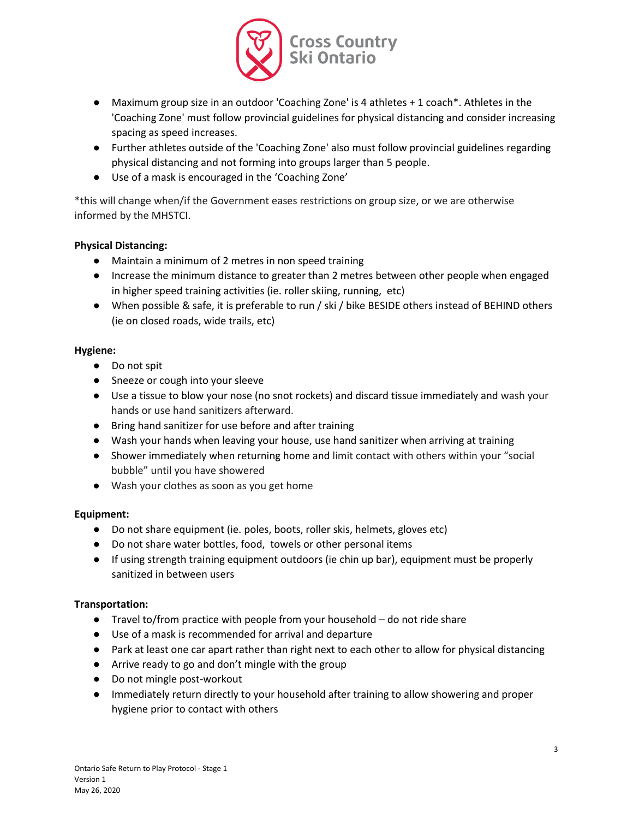

- Maximum group size in an outdoor 'Coaching Zone' is 4 athletes + 1 coach\*. Athletes in the 'Coaching Zone' must follow provincial guidelines for physical distancing and consider increasing spacing as speed increases.
- Further athletes outside of the 'Coaching Zone' also must follow provincial guidelines regarding physical distancing and not forming into groups larger than 5 people.
- Use of a mask is encouraged in the 'Coaching Zone'

\*this will change when/if the Government eases restrictions on group size, or we are otherwise informed by the MHSTCI.

## **Physical Distancing:**

- Maintain a minimum of 2 metres in non speed training
- Increase the minimum distance to greater than 2 metres between other people when engaged in higher speed training activities (ie. roller skiing, running, etc)
- When possible & safe, it is preferable to run / ski / bike BESIDE others instead of BEHIND others (ie on closed roads, wide trails, etc)

### **Hygiene:**

- Do not spit
- Sneeze or cough into your sleeve
- Use a tissue to blow your nose (no snot rockets) and discard tissue immediately and wash your hands or use hand sanitizers afterward.
- Bring hand sanitizer for use before and after training
- Wash your hands when leaving your house, use hand sanitizer when arriving at training
- Shower immediately when returning home and limit contact with others within your "social bubble" until you have showered
- Wash your clothes as soon as you get home

#### **Equipment:**

- Do not share equipment (ie. poles, boots, roller skis, helmets, gloves etc)
- Do not share water bottles, food, towels or other personal items
- If using strength training equipment outdoors (ie chin up bar), equipment must be properly sanitized in between users

#### **Transportation:**

- Travel to/from practice with people from your household do not ride share
- Use of a mask is recommended for arrival and departure
- Park at least one car apart rather than right next to each other to allow for physical distancing
- Arrive ready to go and don't mingle with the group
- Do not mingle post-workout
- Immediately return directly to your household after training to allow showering and proper hygiene prior to contact with others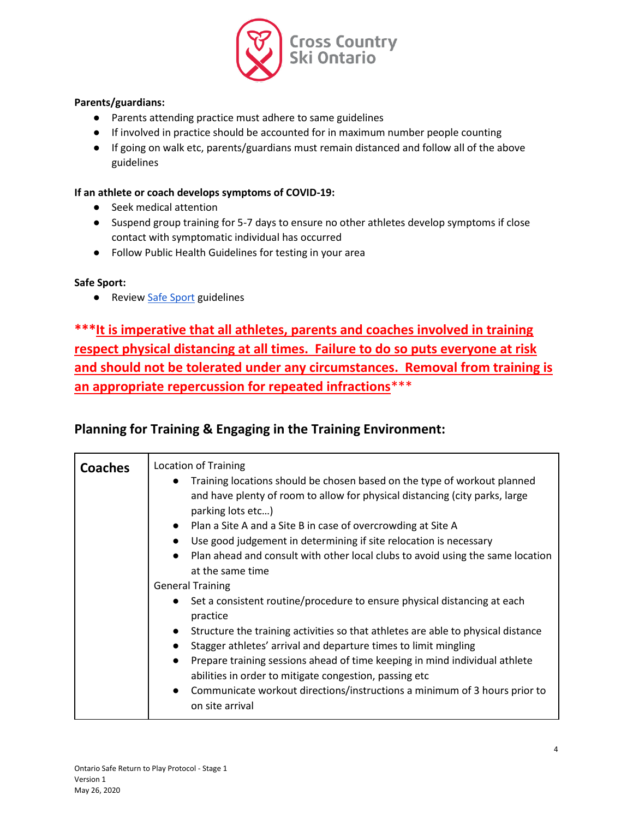

### **Parents/guardians:**

- Parents attending practice must adhere to same guidelines
- If involved in practice should be accounted for in maximum number people counting
- If going on walk etc, parents/guardians must remain distanced and follow all of the above guidelines

### **If an athlete or coach develops symptoms of COVID-19:**

- Seek medical attention
- Suspend group training for 5-7 days to ensure no other athletes develop symptoms if close contact with symptomatic individual has occurred
- Follow Public Health Guidelines for testing in your area

### **Safe Sport:**

● Review [Safe Sport](https://xcskiontario.ca/safe-sport/) guidelines

**\*\*\*It is imperative that all athletes, parents and coaches involved in training respect physical distancing at all times. Failure to do so puts everyone at risk and should not be tolerated under any circumstances. Removal from training is an appropriate repercussion for repeated infractions**\*\*\*

# **Planning for Training & Engaging in the Training Environment:**

| <b>Coaches</b> | <b>Location of Training</b><br>Training locations should be chosen based on the type of workout planned<br>$\bullet$<br>and have plenty of room to allow for physical distancing (city parks, large<br>parking lots etc)<br>• Plan a Site A and a Site B in case of overcrowding at Site A<br>Use good judgement in determining if site relocation is necessary<br>Plan ahead and consult with other local clubs to avoid using the same location<br>$\bullet$<br>at the same time                                                                      |
|----------------|---------------------------------------------------------------------------------------------------------------------------------------------------------------------------------------------------------------------------------------------------------------------------------------------------------------------------------------------------------------------------------------------------------------------------------------------------------------------------------------------------------------------------------------------------------|
|                | <b>General Training</b><br>• Set a consistent routine/procedure to ensure physical distancing at each<br>practice<br>Structure the training activities so that athletes are able to physical distance<br>$\bullet$<br>Stagger athletes' arrival and departure times to limit mingling<br>Prepare training sessions ahead of time keeping in mind individual athlete<br>$\bullet$<br>abilities in order to mitigate congestion, passing etc<br>Communicate workout directions/instructions a minimum of 3 hours prior to<br>$\bullet$<br>on site arrival |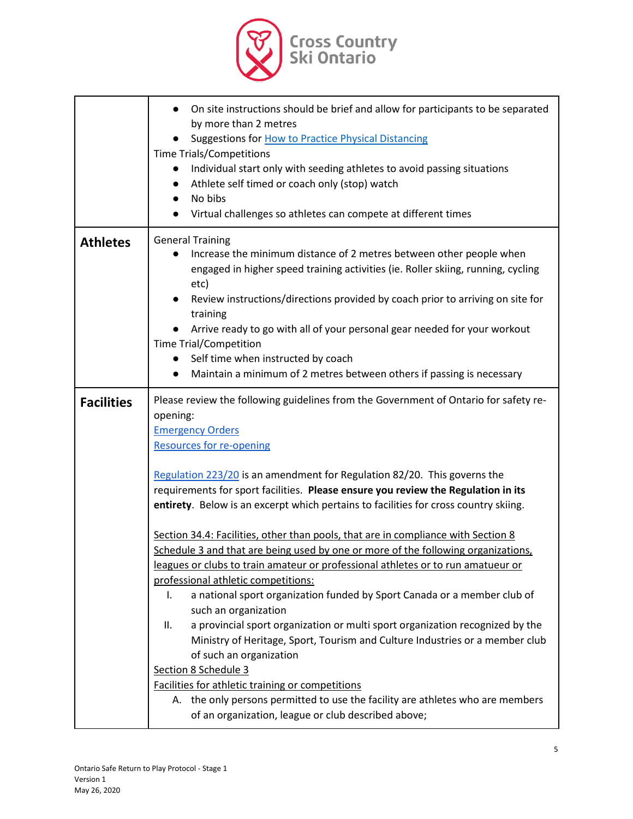

|                   | On site instructions should be brief and allow for participants to be separated<br>$\bullet$<br>by more than 2 metres<br>Suggestions for How to Practice Physical Distancing<br><b>Time Trials/Competitions</b><br>Individual start only with seeding athletes to avoid passing situations<br>$\bullet$<br>Athlete self timed or coach only (stop) watch<br>$\bullet$<br>No bibs<br>$\bullet$<br>Virtual challenges so athletes can compete at different times                                                                                                                                                                                                                                                                                                                                                                                                                                                                                                                                                                                                                                                                                                                                                                                                 |
|-------------------|----------------------------------------------------------------------------------------------------------------------------------------------------------------------------------------------------------------------------------------------------------------------------------------------------------------------------------------------------------------------------------------------------------------------------------------------------------------------------------------------------------------------------------------------------------------------------------------------------------------------------------------------------------------------------------------------------------------------------------------------------------------------------------------------------------------------------------------------------------------------------------------------------------------------------------------------------------------------------------------------------------------------------------------------------------------------------------------------------------------------------------------------------------------------------------------------------------------------------------------------------------------|
| <b>Athletes</b>   | <b>General Training</b><br>Increase the minimum distance of 2 metres between other people when<br>engaged in higher speed training activities (ie. Roller skiing, running, cycling<br>etc)<br>Review instructions/directions provided by coach prior to arriving on site for<br>training<br>Arrive ready to go with all of your personal gear needed for your workout<br><b>Time Trial/Competition</b><br>Self time when instructed by coach<br>$\bullet$<br>Maintain a minimum of 2 metres between others if passing is necessary<br>$\bullet$                                                                                                                                                                                                                                                                                                                                                                                                                                                                                                                                                                                                                                                                                                                |
| <b>Facilities</b> | Please review the following guidelines from the Government of Ontario for safety re-<br>opening:<br><b>Emergency Orders</b><br><b>Resources for re-opening</b><br>Regulation 223/20 is an amendment for Regulation 82/20. This governs the<br>requirements for sport facilities. Please ensure you review the Regulation in its<br>entirety. Below is an excerpt which pertains to facilities for cross country skiing.<br>Section 34.4: Facilities, other than pools, that are in compliance with Section 8<br>Schedule 3 and that are being used by one or more of the following organizations,<br>leagues or clubs to train amateur or professional athletes or to run amatueur or<br>professional athletic competitions:<br>a national sport organization funded by Sport Canada or a member club of<br>I.<br>such an organization<br>a provincial sport organization or multi sport organization recognized by the<br>ΙΙ.<br>Ministry of Heritage, Sport, Tourism and Culture Industries or a member club<br>of such an organization<br>Section 8 Schedule 3<br>Facilities for athletic training or competitions<br>A. the only persons permitted to use the facility are athletes who are members<br>of an organization, league or club described above; |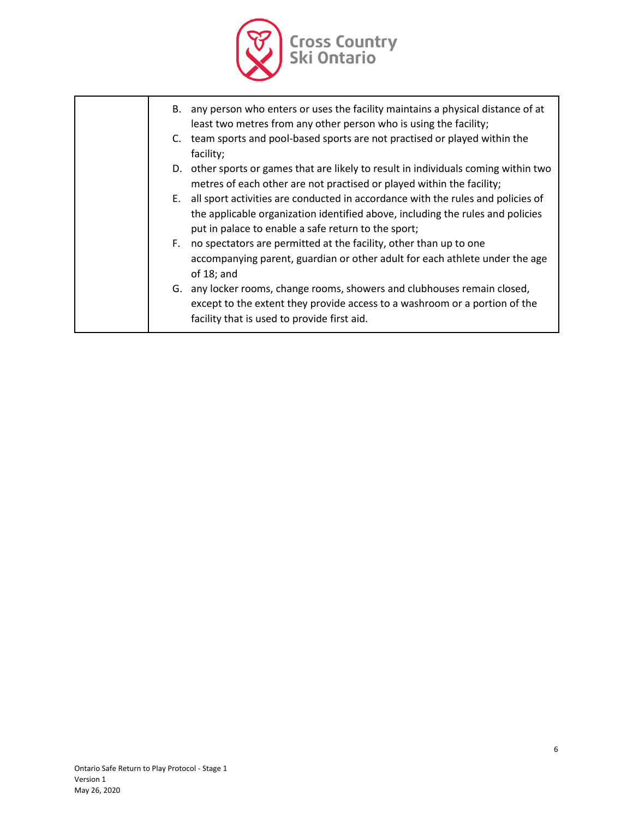

- B. any person who enters or uses the facility maintains a physical distance of at least two metres from any other person who is using the facility;
- C. team sports and pool-based sports are not practised or played within the facility;
- D. other sports or games that are likely to result in individuals coming within two metres of each other are not practised or played within the facility;
- E. all sport activities are conducted in accordance with the rules and policies of the applicable organization identified above, including the rules and policies put in palace to enable a safe return to the sport;
- F. no spectators are permitted at the facility, other than up to one accompanying parent, guardian or other adult for each athlete under the age of 18; and
- G. any locker rooms, change rooms, showers and clubhouses remain closed, except to the extent they provide access to a washroom or a portion of the facility that is used to provide first aid.